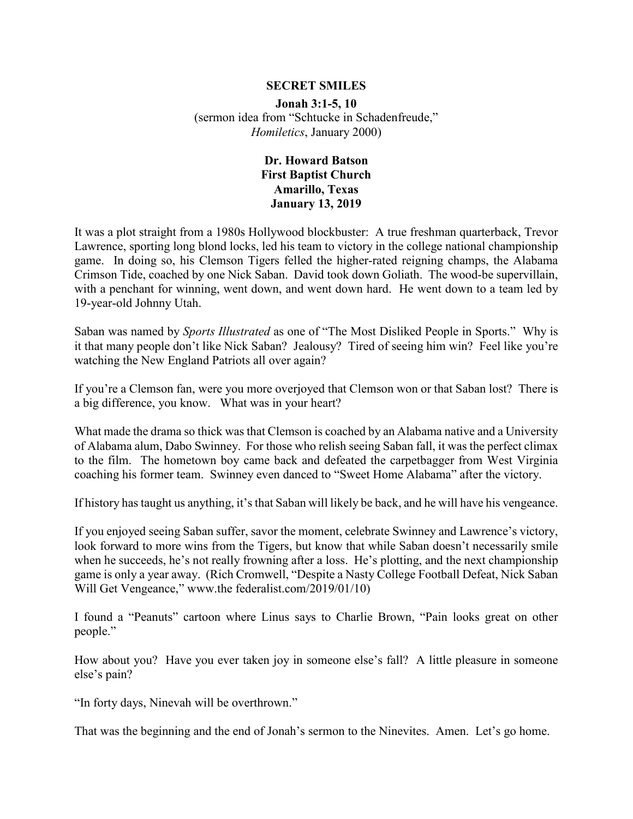## **SECRET SMILES**

**Jonah 3:1-5, 10** (sermon idea from "Schtucke in Schadenfreude," *Homiletics*, January 2000)

## **Dr. Howard Batson First Baptist Church Amarillo, Texas January 13, 2019**

It was a plot straight from a 1980s Hollywood blockbuster: A true freshman quarterback, Trevor Lawrence, sporting long blond locks, led his team to victory in the college national championship game. In doing so, his Clemson Tigers felled the higher-rated reigning champs, the Alabama Crimson Tide, coached by one Nick Saban. David took down Goliath. The wood-be supervillain, with a penchant for winning, went down, and went down hard. He went down to a team led by 19-year-old Johnny Utah.

Saban was named by *Sports Illustrated* as one of "The Most Disliked People in Sports." Why is it that many people don't like Nick Saban? Jealousy? Tired of seeing him win? Feel like you're watching the New England Patriots all over again?

If you're a Clemson fan, were you more overjoyed that Clemson won or that Saban lost? There is a big difference, you know. What was in your heart?

What made the drama so thick was that Clemson is coached by an Alabama native and a University of Alabama alum, Dabo Swinney. For those who relish seeing Saban fall, it was the perfect climax to the film. The hometown boy came back and defeated the carpetbagger from West Virginia coaching his former team. Swinney even danced to "Sweet Home Alabama" after the victory.

If history has taught us anything, it's that Saban will likely be back, and he will have his vengeance.

If you enjoyed seeing Saban suffer, savor the moment, celebrate Swinney and Lawrence's victory, look forward to more wins from the Tigers, but know that while Saban doesn't necessarily smile when he succeeds, he's not really frowning after a loss. He's plotting, and the next championship game is only a year away. (Rich Cromwell, "Despite a Nasty College Football Defeat, Nick Saban Will Get Vengeance," www.the federalist.com/2019/01/10)

I found a "Peanuts" cartoon where Linus says to Charlie Brown, "Pain looks great on other people."

How about you? Have you ever taken joy in someone else's fall? A little pleasure in someone else's pain?

"In forty days, Ninevah will be overthrown."

That was the beginning and the end of Jonah's sermon to the Ninevites. Amen. Let's go home.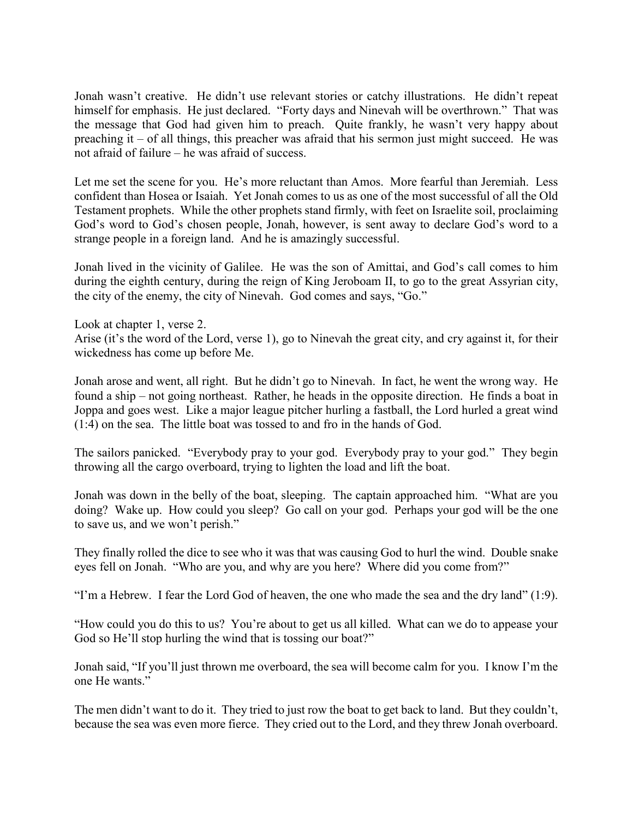Jonah wasn't creative. He didn't use relevant stories or catchy illustrations. He didn't repeat himself for emphasis. He just declared. "Forty days and Ninevah will be overthrown." That was the message that God had given him to preach. Quite frankly, he wasn't very happy about preaching it – of all things, this preacher was afraid that his sermon just might succeed. He was not afraid of failure – he was afraid of success.

Let me set the scene for you. He's more reluctant than Amos. More fearful than Jeremiah. Less confident than Hosea or Isaiah. Yet Jonah comes to us as one of the most successful of all the Old Testament prophets. While the other prophets stand firmly, with feet on Israelite soil, proclaiming God's word to God's chosen people, Jonah, however, is sent away to declare God's word to a strange people in a foreign land. And he is amazingly successful.

Jonah lived in the vicinity of Galilee. He was the son of Amittai, and God's call comes to him during the eighth century, during the reign of King Jeroboam II, to go to the great Assyrian city, the city of the enemy, the city of Ninevah. God comes and says, "Go."

Look at chapter 1, verse 2.

Arise (it's the word of the Lord, verse 1), go to Ninevah the great city, and cry against it, for their wickedness has come up before Me.

Jonah arose and went, all right. But he didn't go to Ninevah. In fact, he went the wrong way. He found a ship – not going northeast. Rather, he heads in the opposite direction. He finds a boat in Joppa and goes west. Like a major league pitcher hurling a fastball, the Lord hurled a great wind (1:4) on the sea. The little boat was tossed to and fro in the hands of God.

The sailors panicked. "Everybody pray to your god. Everybody pray to your god." They begin throwing all the cargo overboard, trying to lighten the load and lift the boat.

Jonah was down in the belly of the boat, sleeping. The captain approached him. "What are you doing? Wake up. How could you sleep? Go call on your god. Perhaps your god will be the one to save us, and we won't perish."

They finally rolled the dice to see who it was that was causing God to hurl the wind. Double snake eyes fell on Jonah. "Who are you, and why are you here? Where did you come from?"

"I'm a Hebrew. I fear the Lord God of heaven, the one who made the sea and the dry land" (1:9).

"How could you do this to us? You're about to get us all killed. What can we do to appease your God so He'll stop hurling the wind that is tossing our boat?"

Jonah said, "If you'll just thrown me overboard, the sea will become calm for you. I know I'm the one He wants."

The men didn't want to do it. They tried to just row the boat to get back to land. But they couldn't, because the sea was even more fierce. They cried out to the Lord, and they threw Jonah overboard.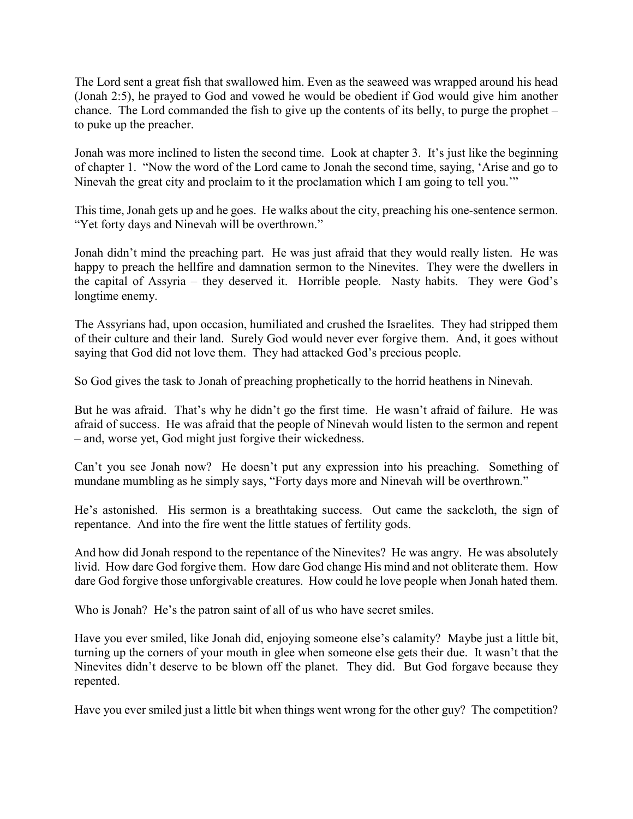The Lord sent a great fish that swallowed him. Even as the seaweed was wrapped around his head (Jonah 2:5), he prayed to God and vowed he would be obedient if God would give him another chance. The Lord commanded the fish to give up the contents of its belly, to purge the prophet – to puke up the preacher.

Jonah was more inclined to listen the second time. Look at chapter 3. It's just like the beginning of chapter 1. "Now the word of the Lord came to Jonah the second time, saying, 'Arise and go to Ninevah the great city and proclaim to it the proclamation which I am going to tell you.'"

This time, Jonah gets up and he goes. He walks about the city, preaching his one-sentence sermon. "Yet forty days and Ninevah will be overthrown."

Jonah didn't mind the preaching part. He was just afraid that they would really listen. He was happy to preach the hellfire and damnation sermon to the Ninevites. They were the dwellers in the capital of Assyria – they deserved it. Horrible people. Nasty habits. They were God's longtime enemy.

The Assyrians had, upon occasion, humiliated and crushed the Israelites. They had stripped them of their culture and their land. Surely God would never ever forgive them. And, it goes without saying that God did not love them. They had attacked God's precious people.

So God gives the task to Jonah of preaching prophetically to the horrid heathens in Ninevah.

But he was afraid. That's why he didn't go the first time. He wasn't afraid of failure. He was afraid of success. He was afraid that the people of Ninevah would listen to the sermon and repent – and, worse yet, God might just forgive their wickedness.

Can't you see Jonah now? He doesn't put any expression into his preaching. Something of mundane mumbling as he simply says, "Forty days more and Ninevah will be overthrown."

He's astonished. His sermon is a breathtaking success. Out came the sackcloth, the sign of repentance. And into the fire went the little statues of fertility gods.

And how did Jonah respond to the repentance of the Ninevites? He was angry. He was absolutely livid. How dare God forgive them. How dare God change His mind and not obliterate them. How dare God forgive those unforgivable creatures. How could he love people when Jonah hated them.

Who is Jonah? He's the patron saint of all of us who have secret smiles.

Have you ever smiled, like Jonah did, enjoying someone else's calamity? Maybe just a little bit, turning up the corners of your mouth in glee when someone else gets their due. It wasn't that the Ninevites didn't deserve to be blown off the planet. They did. But God forgave because they repented.

Have you ever smiled just a little bit when things went wrong for the other guy? The competition?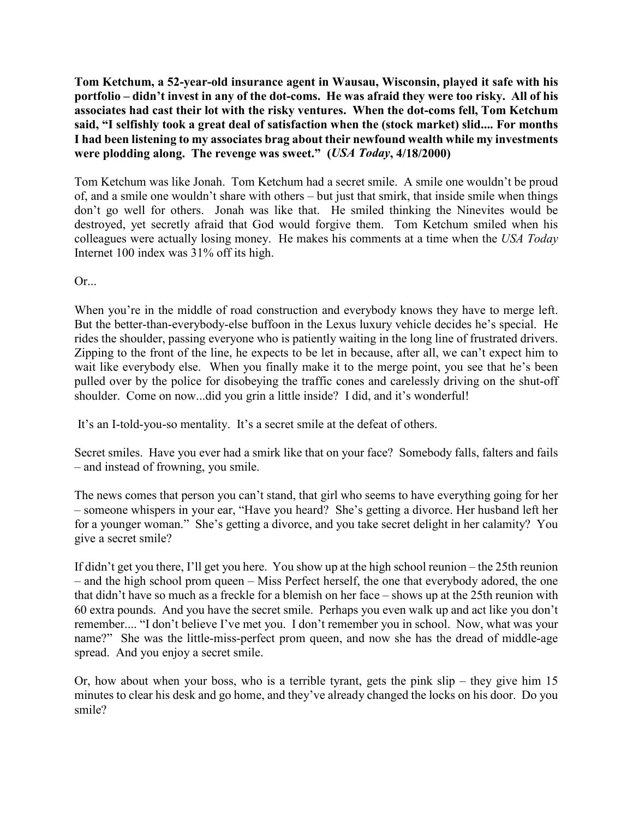**Tom Ketchum, a 52-year-old insurance agent in Wausau, Wisconsin, played it safe with his portfolio – didn't invest in any of the dot-coms. He was afraid they were too risky. All of his associates had cast their lot with the risky ventures. When the dot-coms fell, Tom Ketchum said, "I selfishly took a great deal of satisfaction when the (stock market) slid.... For months I had been listening to my associates brag about their newfound wealth while my investments were plodding along. The revenge was sweet." (***USA Today***, 4/18/2000)**

Tom Ketchum was like Jonah. Tom Ketchum had a secret smile. A smile one wouldn't be proud of, and a smile one wouldn't share with others – but just that smirk, that inside smile when things don't go well for others. Jonah was like that. He smiled thinking the Ninevites would be destroyed, yet secretly afraid that God would forgive them. Tom Ketchum smiled when his colleagues were actually losing money. He makes his comments at a time when the *USA Today* Internet 100 index was 31% off its high.

Or...

When you're in the middle of road construction and everybody knows they have to merge left. But the better-than-everybody-else buffoon in the Lexus luxury vehicle decides he's special. He rides the shoulder, passing everyone who is patiently waiting in the long line of frustrated drivers. Zipping to the front of the line, he expects to be let in because, after all, we can't expect him to wait like everybody else. When you finally make it to the merge point, you see that he's been pulled over by the police for disobeying the traffic cones and carelessly driving on the shut-off shoulder. Come on now...did you grin a little inside? I did, and it's wonderful!

It's an I-told-you-so mentality. It's a secret smile at the defeat of others.

Secret smiles. Have you ever had a smirk like that on your face? Somebody falls, falters and fails – and instead of frowning, you smile.

The news comes that person you can't stand, that girl who seems to have everything going for her – someone whispers in your ear, "Have you heard? She's getting a divorce. Her husband left her for a younger woman." She's getting a divorce, and you take secret delight in her calamity? You give a secret smile?

If didn't get you there, I'll get you here. You show up at the high school reunion – the 25th reunion – and the high school prom queen – Miss Perfect herself, the one that everybody adored, the one that didn't have so much as a freckle for a blemish on her face – shows up at the 25th reunion with 60 extra pounds. And you have the secret smile. Perhaps you even walk up and act like you don't remember.... "I don't believe I've met you. I don't remember you in school. Now, what was your name?" She was the little-miss-perfect prom queen, and now she has the dread of middle-age spread. And you enjoy a secret smile.

Or, how about when your boss, who is a terrible tyrant, gets the pink slip – they give him 15 minutes to clear his desk and go home, and they've already changed the locks on his door. Do you smile?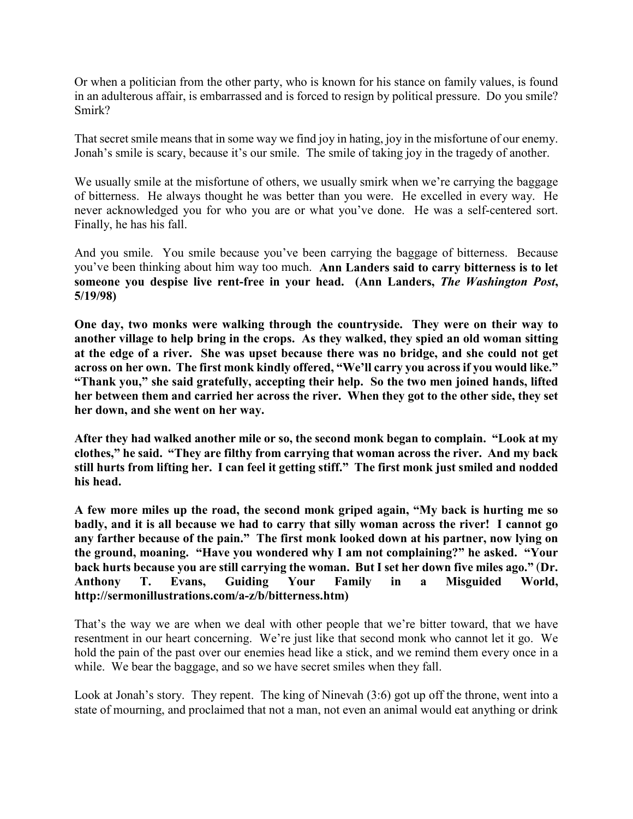Or when a politician from the other party, who is known for his stance on family values, is found in an adulterous affair, is embarrassed and is forced to resign by political pressure. Do you smile? Smirk?

That secret smile means that in some way we find joy in hating, joy in the misfortune of our enemy. Jonah's smile is scary, because it's our smile. The smile of taking joy in the tragedy of another.

We usually smile at the misfortune of others, we usually smirk when we're carrying the baggage of bitterness. He always thought he was better than you were. He excelled in every way. He never acknowledged you for who you are or what you've done. He was a self-centered sort. Finally, he has his fall.

And you smile. You smile because you've been carrying the baggage of bitterness. Because you've been thinking about him way too much. **Ann Landers said to carry bitterness is to let someone you despise live rent-free in your head. (Ann Landers,** *The Washington Post***, 5/19/98)**

**One day, two monks were walking through the countryside. They were on their way to another village to help bring in the crops. As they walked, they spied an old woman sitting at the edge of a river. She was upset because there was no bridge, and she could not get across on her own. The first monk kindly offered, "We'll carry you across if you would like." "Thank you," she said gratefully, accepting their help. So the two men joined hands, lifted her between them and carried her across the river. When they got to the other side, they set her down, and she went on her way.**

**After they had walked another mile or so, the second monk began to complain. "Look at my clothes," he said. "They are filthy from carrying that woman across the river. And my back still hurts from lifting her. I can feel it getting stiff." The first monk just smiled and nodded his head.**

**A few more miles up the road, the second monk griped again, "My back is hurting me so badly, and it is all because we had to carry that silly woman across the river! I cannot go any farther because of the pain." The first monk looked down at his partner, now lying on the ground, moaning. "Have you wondered why I am not complaining?" he asked. "Your back hurts because you are still carrying the woman. But I set her down five miles ago."** (**Dr. Anthony T. Evans, Guiding Your Family in a Misguided World, http://sermonillustrations.com/a-z/b/bitterness.htm)**

That's the way we are when we deal with other people that we're bitter toward, that we have resentment in our heart concerning. We're just like that second monk who cannot let it go. We hold the pain of the past over our enemies head like a stick, and we remind them every once in a while. We bear the baggage, and so we have secret smiles when they fall.

Look at Jonah's story. They repent. The king of Ninevah (3:6) got up off the throne, went into a state of mourning, and proclaimed that not a man, not even an animal would eat anything or drink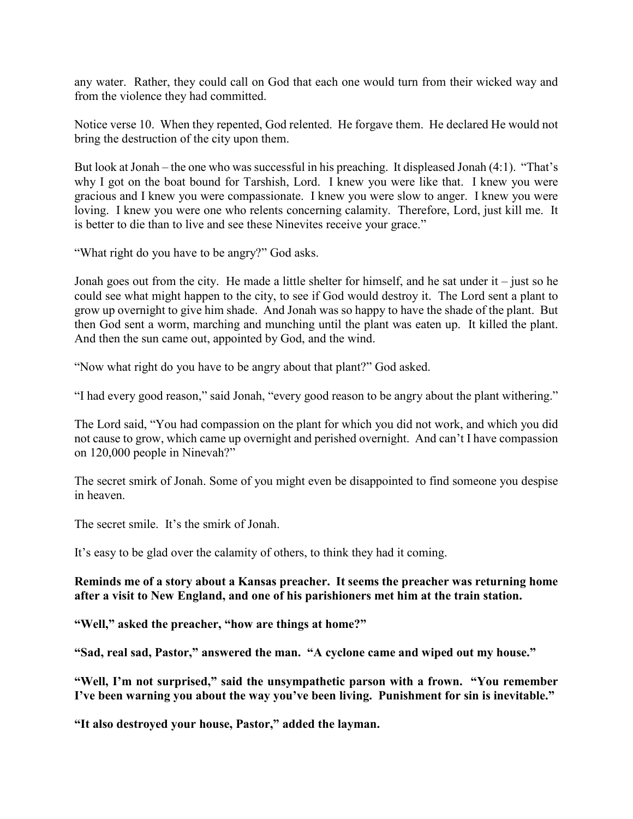any water. Rather, they could call on God that each one would turn from their wicked way and from the violence they had committed.

Notice verse 10. When they repented, God relented. He forgave them. He declared He would not bring the destruction of the city upon them.

But look at Jonah – the one who was successful in his preaching. It displeased Jonah (4:1). "That's why I got on the boat bound for Tarshish, Lord. I knew you were like that. I knew you were gracious and I knew you were compassionate. I knew you were slow to anger. I knew you were loving. I knew you were one who relents concerning calamity. Therefore, Lord, just kill me. It is better to die than to live and see these Ninevites receive your grace."

"What right do you have to be angry?" God asks.

Jonah goes out from the city. He made a little shelter for himself, and he sat under it – just so he could see what might happen to the city, to see if God would destroy it. The Lord sent a plant to grow up overnight to give him shade. And Jonah was so happy to have the shade of the plant. But then God sent a worm, marching and munching until the plant was eaten up. It killed the plant. And then the sun came out, appointed by God, and the wind.

"Now what right do you have to be angry about that plant?" God asked.

"I had every good reason," said Jonah, "every good reason to be angry about the plant withering."

The Lord said, "You had compassion on the plant for which you did not work, and which you did not cause to grow, which came up overnight and perished overnight. And can't I have compassion on 120,000 people in Ninevah?"

The secret smirk of Jonah. Some of you might even be disappointed to find someone you despise in heaven.

The secret smile. It's the smirk of Jonah.

It's easy to be glad over the calamity of others, to think they had it coming.

## **Reminds me of a story about a Kansas preacher. It seems the preacher was returning home after a visit to New England, and one of his parishioners met him at the train station.**

**"Well," asked the preacher, "how are things at home?"**

**"Sad, real sad, Pastor," answered the man. "A cyclone came and wiped out my house."**

**"Well, I'm not surprised," said the unsympathetic parson with a frown. "You remember I've been warning you about the way you've been living. Punishment for sin is inevitable."**

**"It also destroyed your house, Pastor," added the layman.**